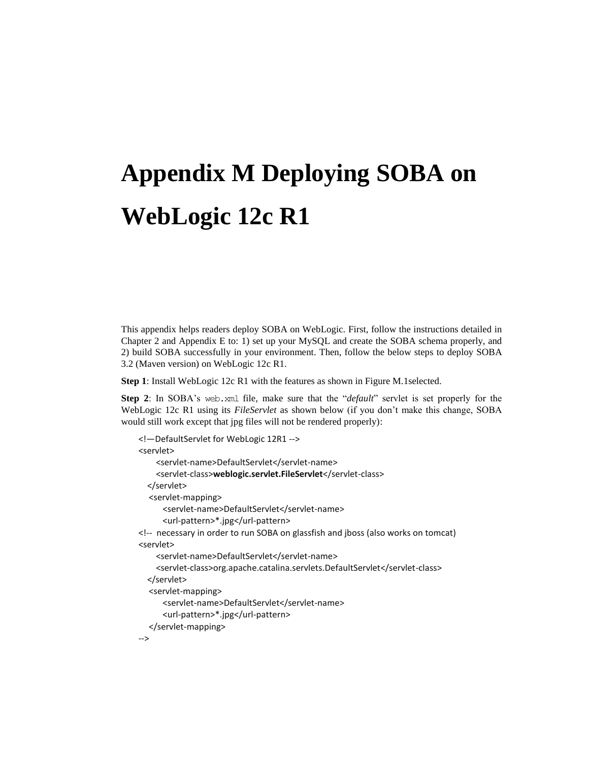## **Appendix M Deploying SOBA on WebLogic 12c R1**

This appendix helps readers deploy SOBA on WebLogic. First, follow the instructions detailed in Chapter 2 and Appendix E to: 1) set up your MySQL and create the SOBA schema properly, and 2) build SOBA successfully in your environment. Then, follow the below steps to deploy SOBA 3.2 (Maven version) on WebLogic 12c R1.

**Step 1**: Install WebLogic 12c R1 with the features as shown in Figure M.1selected.

**Step 2**: In SOBA's web.xml file, make sure that the "*default*" servlet is set properly for the WebLogic 12c R1 using its *FileServlet* as shown below (if you don't make this change, SOBA would still work except that jpg files will not be rendered properly):

```
<!—DefaultServlet for WebLogic 12R1 -->
<servlet>
     <servlet-name>DefaultServlet</servlet-name>
     <servlet-class>weblogic.servlet.FileServlet</servlet-class>
   </servlet>
  <servlet-mapping>
      <servlet-name>DefaultServlet</servlet-name>
      <url-pattern>*.jpg</url-pattern>
<!-- necessary in order to run SOBA on glassfish and jboss (also works on tomcat)
<servlet>
     <servlet-name>DefaultServlet</servlet-name>
     <servlet-class>org.apache.catalina.servlets.DefaultServlet</servlet-class>
   </servlet>
  <servlet-mapping>
      <servlet-name>DefaultServlet</servlet-name>
      <url-pattern>*.jpg</url-pattern>
  </servlet-mapping>
-->
```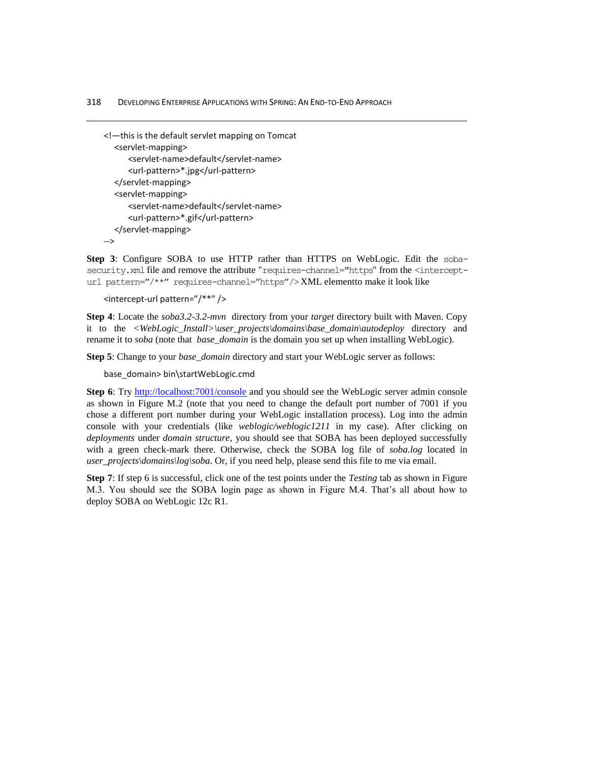318DEVELOPING ENTERPRISE APPLICATIONS WITH SPRING: AN END-TO-END APPROACH

```
<!—this is the default servlet mapping on Tomcat
  <servlet-mapping>
      <servlet-name>default</servlet-name>
      <url-pattern>*.jpg</url-pattern>
  </servlet-mapping>
  <servlet-mapping>
      <servlet-name>default</servlet-name>
      <url-pattern>*.gif</url-pattern>
  </servlet-mapping>
-->
```
**Step 3**: Configure SOBA to use HTTP rather than HTTPS on WebLogic. Edit the sobasecurity.xml file and remove the attribute "requires-channel="https" from the <intercepturl pattern="/\*\*" requires-channel="https"/> XML elementto make it look like

<intercept-url pattern="/\*\*" />

**Step 4**: Locate the *soba3.2-3.2-mvn* directory from your *target* directory built with Maven. Copy it to the *<WebLogic\_Install>\user\_projects\domains\base\_domain\autodeploy* directory and rename it to *soba* (note that *base\_domain* is the domain you set up when installing WebLogic).

**Step 5**: Change to your *base\_domain* directory and start your WebLogic server as follows:

base\_domain> bin\startWebLogic.cmd

Step 6: Try<http://localhost:7001/console> and you should see the WebLogic server admin console as shown in Figure M.2 (note that you need to change the default port number of 7001 if you chose a different port number during your WebLogic installation process). Log into the admin console with your credentials (like *weblogic/weblogic1211* in my case). After clicking on *deployments* under *domain structure*, you should see that SOBA has been deployed successfully with a green check-mark there. Otherwise, check the SOBA log file of *soba.log* located in *user\_projects\domains\log\soba*. Or, if you need help, please send this file to me via email.

**Step 7**: If step 6 is successful, click one of the test points under the *Testing* tab as shown in Figure M.3. You should see the SOBA login page as shown in Figure M.4. That's all about how to deploy SOBA on WebLogic 12c R1.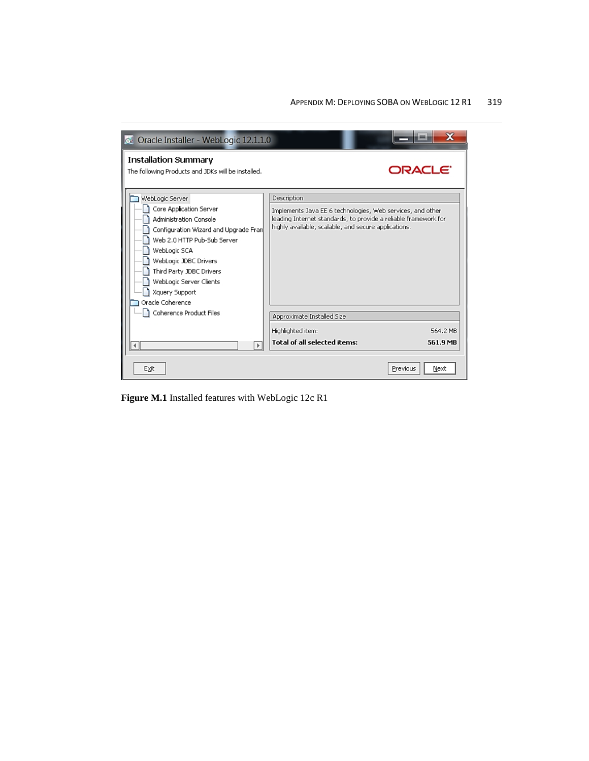

**Figure M.1** Installed features with WebLogic 12c R1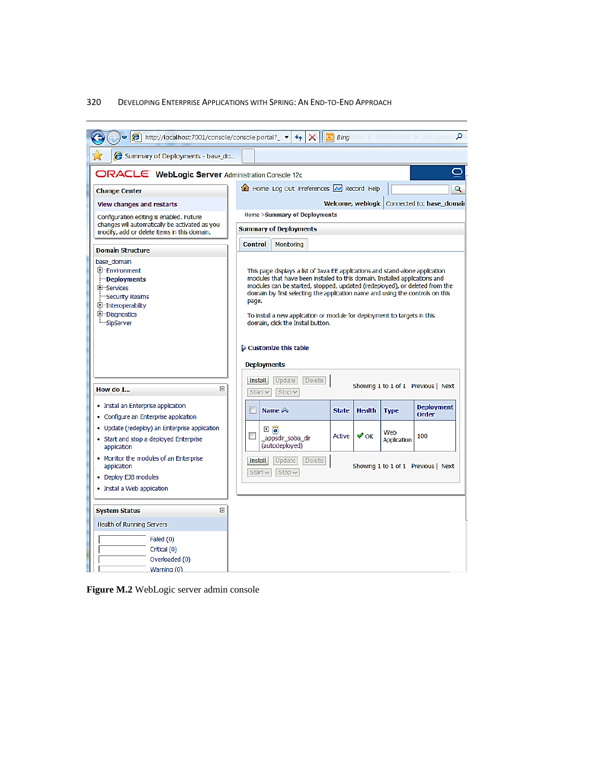## 320DEVELOPING ENTERPRISE APPLICATIONS WITH SPRING: AN END-TO-END APPROACH



**Figure M.2** WebLogic server admin console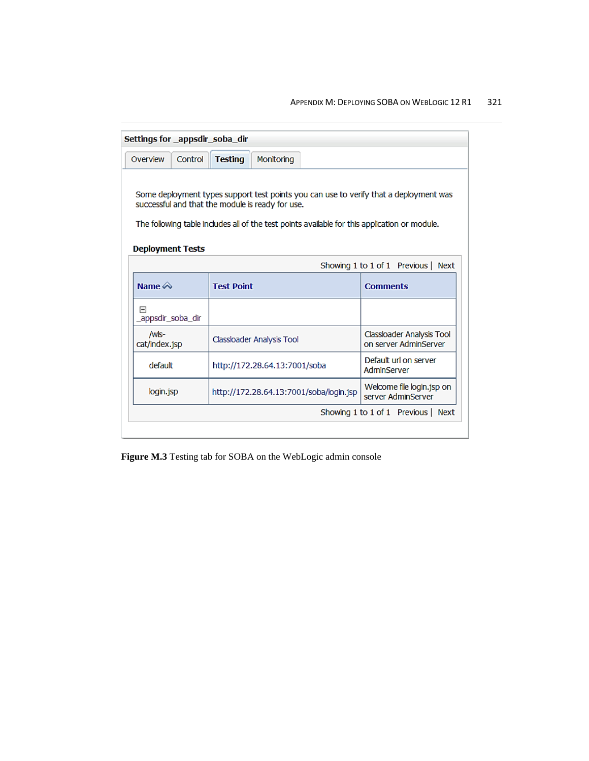## APPENDIX M: DEPLOYING SOBA ON WEBLOGIC 12 R1 321

| Settings for _appsdir_soba_dir                                                                                                                                                                                                             |                   |                |                               |                                         |                                                    |  |
|--------------------------------------------------------------------------------------------------------------------------------------------------------------------------------------------------------------------------------------------|-------------------|----------------|-------------------------------|-----------------------------------------|----------------------------------------------------|--|
| Overview                                                                                                                                                                                                                                   | Control           | <b>Testing</b> | <b>Monitoring</b>             |                                         |                                                    |  |
| Some deployment types support test points you can use to verify that a deployment was<br>successful and that the module is ready for use.<br>The following table includes all of the test points available for this application or module. |                   |                |                               |                                         |                                                    |  |
| <b>Deployment Tests</b><br>Showing 1 to 1 of 1 Previous   Next                                                                                                                                                                             |                   |                |                               |                                         |                                                    |  |
| Name $\bigotimes$                                                                                                                                                                                                                          | <b>Test Point</b> |                |                               |                                         | <b>Comments</b>                                    |  |
| 冃<br>_appsdir_soba_dir                                                                                                                                                                                                                     |                   |                |                               |                                         |                                                    |  |
| /wls-<br>cat/index.jsp                                                                                                                                                                                                                     |                   |                | Classloader Analysis Tool     |                                         | Classloader Analysis Tool<br>on server AdminServer |  |
| default                                                                                                                                                                                                                                    |                   |                | http://172.28.64.13:7001/soba |                                         | Default url on server.<br>AdminServer              |  |
| login.jsp                                                                                                                                                                                                                                  |                   |                |                               | http://172.28.64.13:7001/soba/login.jsp | Welcome file login.jsp on<br>server AdminServer    |  |
|                                                                                                                                                                                                                                            |                   |                |                               |                                         |                                                    |  |

**Figure M.3** Testing tab for SOBA on the WebLogic admin console